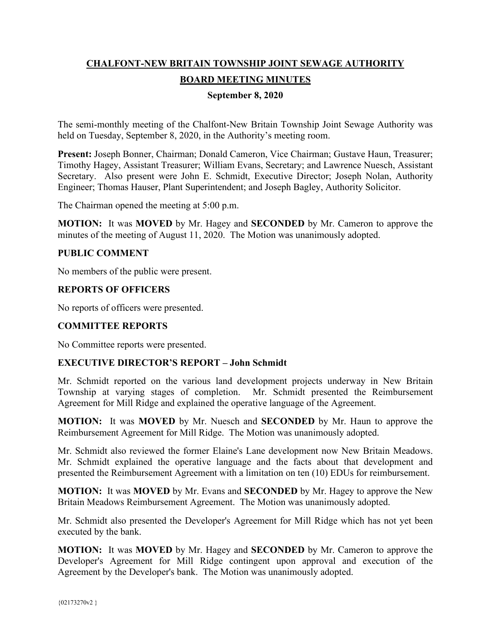# **CHALFONT-NEW BRITAIN TOWNSHIP JOINT SEWAGE AUTHORITY BOARD MEETING MINUTES**

## **September 8, 2020**

The semi-monthly meeting of the Chalfont-New Britain Township Joint Sewage Authority was held on Tuesday, September 8, 2020, in the Authority's meeting room.

**Present:** Joseph Bonner, Chairman; Donald Cameron, Vice Chairman; Gustave Haun, Treasurer; Timothy Hagey, Assistant Treasurer; William Evans, Secretary; and Lawrence Nuesch, Assistant Secretary. Also present were John E. Schmidt, Executive Director; Joseph Nolan, Authority Engineer; Thomas Hauser, Plant Superintendent; and Joseph Bagley, Authority Solicitor.

The Chairman opened the meeting at 5:00 p.m.

**MOTION:** It was **MOVED** by Mr. Hagey and **SECONDED** by Mr. Cameron to approve the minutes of the meeting of August 11, 2020. The Motion was unanimously adopted.

## **PUBLIC COMMENT**

No members of the public were present.

#### **REPORTS OF OFFICERS**

No reports of officers were presented.

# **COMMITTEE REPORTS**

No Committee reports were presented.

#### **EXECUTIVE DIRECTOR'S REPORT – John Schmidt**

Mr. Schmidt reported on the various land development projects underway in New Britain Township at varying stages of completion. Mr. Schmidt presented the Reimbursement Agreement for Mill Ridge and explained the operative language of the Agreement.

**MOTION:** It was **MOVED** by Mr. Nuesch and **SECONDED** by Mr. Haun to approve the Reimbursement Agreement for Mill Ridge. The Motion was unanimously adopted.

Mr. Schmidt also reviewed the former Elaine's Lane development now New Britain Meadows. Mr. Schmidt explained the operative language and the facts about that development and presented the Reimbursement Agreement with a limitation on ten (10) EDUs for reimbursement.

**MOTION:** It was **MOVED** by Mr. Evans and **SECONDED** by Mr. Hagey to approve the New Britain Meadows Reimbursement Agreement. The Motion was unanimously adopted.

Mr. Schmidt also presented the Developer's Agreement for Mill Ridge which has not yet been executed by the bank.

**MOTION:** It was **MOVED** by Mr. Hagey and **SECONDED** by Mr. Cameron to approve the Developer's Agreement for Mill Ridge contingent upon approval and execution of the Agreement by the Developer's bank. The Motion was unanimously adopted.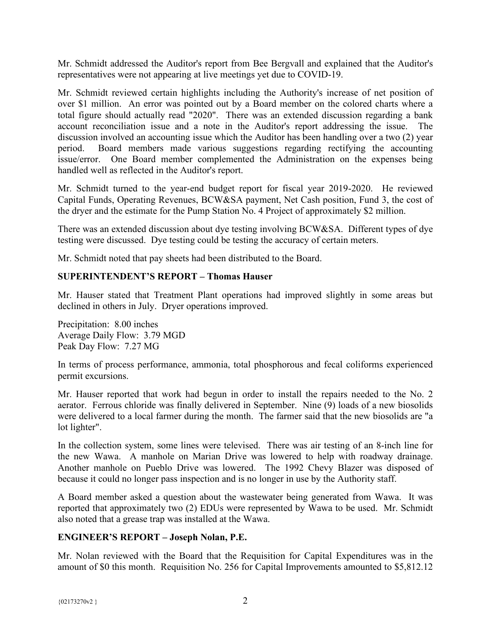Mr. Schmidt addressed the Auditor's report from Bee Bergvall and explained that the Auditor's representatives were not appearing at live meetings yet due to COVID-19.

Mr. Schmidt reviewed certain highlights including the Authority's increase of net position of over \$1 million. An error was pointed out by a Board member on the colored charts where a total figure should actually read "2020". There was an extended discussion regarding a bank account reconciliation issue and a note in the Auditor's report addressing the issue. The discussion involved an accounting issue which the Auditor has been handling over a two (2) year period. Board members made various suggestions regarding rectifying the accounting issue/error. One Board member complemented the Administration on the expenses being handled well as reflected in the Auditor's report.

Mr. Schmidt turned to the year-end budget report for fiscal year 2019-2020. He reviewed Capital Funds, Operating Revenues, BCW&SA payment, Net Cash position, Fund 3, the cost of the dryer and the estimate for the Pump Station No. 4 Project of approximately \$2 million.

There was an extended discussion about dye testing involving BCW&SA. Different types of dye testing were discussed. Dye testing could be testing the accuracy of certain meters.

Mr. Schmidt noted that pay sheets had been distributed to the Board.

## **SUPERINTENDENT'S REPORT – Thomas Hauser**

Mr. Hauser stated that Treatment Plant operations had improved slightly in some areas but declined in others in July. Dryer operations improved.

Precipitation: 8.00 inches Average Daily Flow: 3.79 MGD Peak Day Flow: 7.27 MG

In terms of process performance, ammonia, total phosphorous and fecal coliforms experienced permit excursions.

Mr. Hauser reported that work had begun in order to install the repairs needed to the No. 2 aerator. Ferrous chloride was finally delivered in September. Nine (9) loads of a new biosolids were delivered to a local farmer during the month. The farmer said that the new biosolids are "a lot lighter".

In the collection system, some lines were televised. There was air testing of an 8-inch line for the new Wawa. A manhole on Marian Drive was lowered to help with roadway drainage. Another manhole on Pueblo Drive was lowered. The 1992 Chevy Blazer was disposed of because it could no longer pass inspection and is no longer in use by the Authority staff.

A Board member asked a question about the wastewater being generated from Wawa. It was reported that approximately two (2) EDUs were represented by Wawa to be used. Mr. Schmidt also noted that a grease trap was installed at the Wawa.

#### **ENGINEER'S REPORT – Joseph Nolan, P.E.**

Mr. Nolan reviewed with the Board that the Requisition for Capital Expenditures was in the amount of \$0 this month. Requisition No. 256 for Capital Improvements amounted to \$5,812.12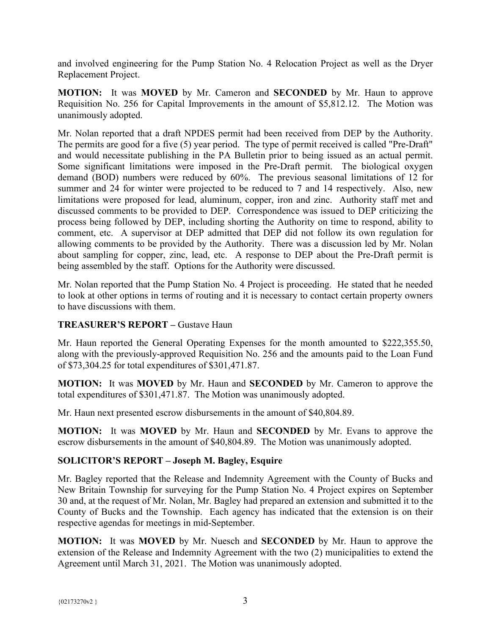and involved engineering for the Pump Station No. 4 Relocation Project as well as the Dryer Replacement Project.

**MOTION:** It was **MOVED** by Mr. Cameron and **SECONDED** by Mr. Haun to approve Requisition No. 256 for Capital Improvements in the amount of \$5,812.12. The Motion was unanimously adopted.

Mr. Nolan reported that a draft NPDES permit had been received from DEP by the Authority. The permits are good for a five (5) year period. The type of permit received is called "Pre-Draft" and would necessitate publishing in the PA Bulletin prior to being issued as an actual permit. Some significant limitations were imposed in the Pre-Draft permit. The biological oxygen demand (BOD) numbers were reduced by 60%. The previous seasonal limitations of 12 for summer and 24 for winter were projected to be reduced to 7 and 14 respectively. Also, new limitations were proposed for lead, aluminum, copper, iron and zinc. Authority staff met and discussed comments to be provided to DEP. Correspondence was issued to DEP criticizing the process being followed by DEP, including shorting the Authority on time to respond, ability to comment, etc. A supervisor at DEP admitted that DEP did not follow its own regulation for allowing comments to be provided by the Authority. There was a discussion led by Mr. Nolan about sampling for copper, zinc, lead, etc. A response to DEP about the Pre-Draft permit is being assembled by the staff. Options for the Authority were discussed.

Mr. Nolan reported that the Pump Station No. 4 Project is proceeding. He stated that he needed to look at other options in terms of routing and it is necessary to contact certain property owners to have discussions with them.

# **TREASURER'S REPORT –** Gustave Haun

Mr. Haun reported the General Operating Expenses for the month amounted to \$222,355.50, along with the previously-approved Requisition No. 256 and the amounts paid to the Loan Fund of \$73,304.25 for total expenditures of \$301,471.87.

**MOTION:** It was **MOVED** by Mr. Haun and **SECONDED** by Mr. Cameron to approve the total expenditures of \$301,471.87. The Motion was unanimously adopted.

Mr. Haun next presented escrow disbursements in the amount of \$40,804.89.

**MOTION:** It was **MOVED** by Mr. Haun and **SECONDED** by Mr. Evans to approve the escrow disbursements in the amount of \$40,804.89. The Motion was unanimously adopted.

# **SOLICITOR'S REPORT – Joseph M. Bagley, Esquire**

Mr. Bagley reported that the Release and Indemnity Agreement with the County of Bucks and New Britain Township for surveying for the Pump Station No. 4 Project expires on September 30 and, at the request of Mr. Nolan, Mr. Bagley had prepared an extension and submitted it to the County of Bucks and the Township. Each agency has indicated that the extension is on their respective agendas for meetings in mid-September.

**MOTION:** It was **MOVED** by Mr. Nuesch and **SECONDED** by Mr. Haun to approve the extension of the Release and Indemnity Agreement with the two (2) municipalities to extend the Agreement until March 31, 2021. The Motion was unanimously adopted.